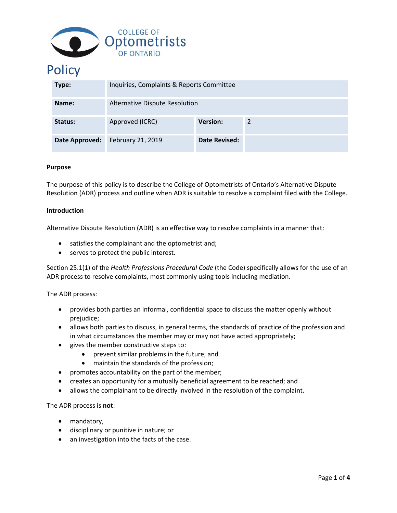

# **Policy**

| Type:          | Inquiries, Complaints & Reports Committee |                 |   |
|----------------|-------------------------------------------|-----------------|---|
| Name:          | Alternative Dispute Resolution            |                 |   |
| Status:        | Approved (ICRC)                           | <b>Version:</b> | 2 |
| Date Approved: | February 21, 2019                         | Date Revised:   |   |

#### **Purpose**

The purpose of this policy is to describe the College of Optometrists of Ontario's Alternative Dispute Resolution (ADR) process and outline when ADR is suitable to resolve a complaint filed with the College.

#### **Introduction**

Alternative Dispute Resolution (ADR) is an effective way to resolve complaints in a manner that:

- satisfies the complainant and the optometrist and;
- serves to protect the public interest.

Section 25.1(1) of the *Health Professions Procedural Code* (the Code) specifically allows for the use of an ADR process to resolve complaints, most commonly using tools including mediation.

The ADR process:

- provides both parties an informal, confidential space to discuss the matter openly without prejudice;
- allows both parties to discuss, in general terms, the standards of practice of the profession and in what circumstances the member may or may not have acted appropriately;
- gives the member constructive steps to:
	- prevent similar problems in the future; and
	- maintain the standards of the profession;
- promotes accountability on the part of the member;
- creates an opportunity for a mutually beneficial agreement to be reached; and
- allows the complainant to be directly involved in the resolution of the complaint.

The ADR process is **not**:

- mandatory,
- disciplinary or punitive in nature; or
- an investigation into the facts of the case.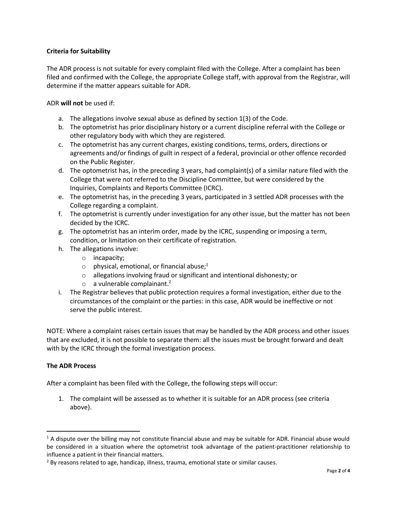## **Criteria for Suitability**

The ADR process is not suitable for every complaint filed with the College. After a complaint has been filed and confirmed with the College, the appropriate College staff, with approval from the Registrar, will determine if the matter appears suitable for ADR.

ADR **will not** be used if:

- a. The allegations involve sexual abuse as defined by section 1(3) of the Code.
- b. The optometrist has prior disciplinary history or a current discipline referral with the College or other regulatory body with which they are registered.
- c. The optometrist has any current charges, existing conditions, terms, orders, directions or agreements and/or findings of guilt in respect of a federal, provincial or other offence recorded on the Public Register.
- d. The optometrist has, in the preceding 3 years, had complaint(s) of a similar nature filed with the College that were not referred to the Discipline Committee, but were considered by the Inquiries, Complaints and Reports Committee (ICRC).
- e. The optometrist has, in the preceding 3 years, participated in 3 settled ADR processes with the College regarding a complaint.
- f. The optometrist is currently under investigation for any other issue, but the matter has not been decided by the ICRC.
- g. The optometrist has an interim order, made by the ICRC, suspending or imposing a term, condition, or limitation on their certificate of registration.
- h. The allegations involve:
	- o incapacity;
	- $\circ$  physical, emotional, or financial abuse;<sup>1</sup>
	- o allegations involving fraud or significant and intentional dishonesty; or
	- $\circ$  a vulnerable complainant.<sup>2</sup>
- i. The Registrar believes that public protection requires a formal investigation, either due to the circumstances of the complaint or the parties: in this case, ADR would be ineffective or not serve the public interest.

NOTE: Where a complaint raises certain issues that may be handled by the ADR process and other issues that are excluded, it is not possible to separate them: all the issues must be brought forward and dealt with by the ICRC through the formal investigation process.

### **The ADR Process**

After a complaint has been filed with the College, the following steps will occur:

1. The complaint will be assessed as to whether it is suitable for an ADR process (see criteria above).

 $1$  A dispute over the billing may not constitute financial abuse and may be suitable for ADR. Financial abuse would be considered in a situation where the optometrist took advantage of the patient-practitioner relationship to influence a patient in their financial matters.

<sup>&</sup>lt;sup>2</sup> By reasons related to age, handicap, illness, trauma, emotional state or similar causes.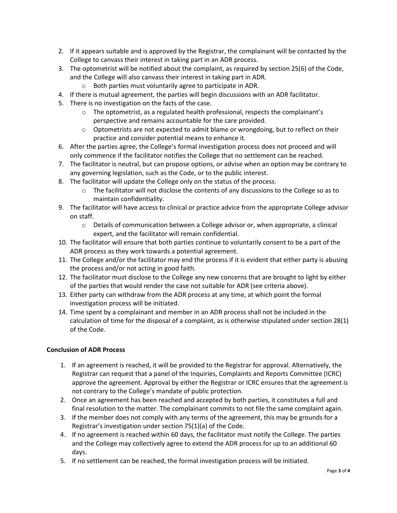- 2. If it appears suitable and is approved by the Registrar, the complainant will be contacted by the College to canvass their interest in taking part in an ADR process.
- 3. The optometrist will be notified about the complaint, as required by section 25(6) of the Code, and the College will also canvass their interest in taking part in ADR.
	- o Both parties must voluntarily agree to participate in ADR.
- 4. If there is mutual agreement, the parties will begin discussions with an ADR facilitator.
- 5. There is no investigation on the facts of the case.
	- o The optometrist, as a regulated health professional, respects the complainant's perspective and remains accountable for the care provided.
	- $\circ$  Optometrists are not expected to admit blame or wrongdoing, but to reflect on their practice and consider potential means to enhance it.
- 6. After the parties agree, the College's formal investigation process does not proceed and will only commence if the facilitator notifies the College that no settlement can be reached.
- 7. The facilitator is neutral, but can propose options, or advise when an option may be contrary to any governing legislation, such as the Code, or to the public interest.
- 8. The facilitator will update the College only on the status of the process.
	- $\circ$  The facilitator will not disclose the contents of any discussions to the College so as to maintain confidentiality.
- 9. The facilitator will have access to clinical or practice advice from the appropriate College advisor on staff.
	- $\circ$  Details of communication between a College advisor or, when appropriate, a clinical expert, and the facilitator will remain confidential.
- 10. The facilitator will ensure that both parties continue to voluntarily consent to be a part of the ADR process as they work towards a potential agreement.
- 11. The College and/or the facilitator may end the process if it is evident that either party is abusing the process and/or not acting in good faith.
- 12. The facilitator must disclose to the College any new concerns that are brought to light by either of the parties that would render the case not suitable for ADR (see criteria above).
- 13. Either party can withdraw from the ADR process at any time, at which point the formal investigation process will be initiated.
- 14. Time spent by a complainant and member in an ADR process shall not be included in the calculation of time for the disposal of a complaint, as is otherwise stipulated under section 28(1) of the Code.

## **Conclusion of ADR Process**

- 1. If an agreement is reached, it will be provided to the Registrar for approval. Alternatively, the Registrar can request that a panel of the Inquiries, Complaints and Reports Committee (ICRC) approve the agreement. Approval by either the Registrar or ICRC ensures that the agreement is not contrary to the College's mandate of public protection.
- 2. Once an agreement has been reached and accepted by both parties, it constitutes a full and final resolution to the matter. The complainant commits to not file the same complaint again.
- 3. If the member does not comply with any terms of the agreement, this may be grounds for a Registrar's investigation under section 75(1)(a) of the Code.
- 4. If no agreement is reached within 60 days, the facilitator must notify the College. The parties and the College may collectively agree to extend the ADR process for up to an additional 60 days.
- 5. If no settlement can be reached, the formal investigation process will be initiated.